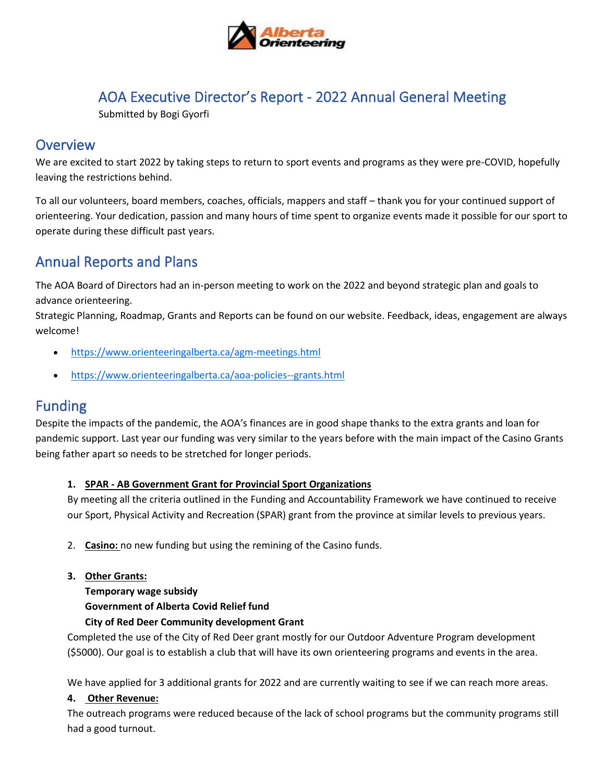

## AOA Executive Director's Report - 2022 Annual General Meeting

Submitted by Bogi Gyorfi

### **Overview**

We are excited to start 2022 by taking steps to return to sport events and programs as they were pre-COVID, hopefully leaving the restrictions behind.

To all our volunteers, board members, coaches, officials, mappers and staff – thank you for your continued support of orienteering. Your dedication, passion and many hours of time spent to organize events made it possible for our sport to operate during these difficult past years.

## Annual Reports and Plans

The AOA Board of Directors had an in-person meeting to work on the 2022 and beyond strategic plan and goals to advance orienteering.

Strategic Planning, Roadmap, Grants and Reports can be found on our website. Feedback, ideas, engagement are always welcome!

- <https://www.orienteeringalberta.ca/agm-meetings.html>
- <https://www.orienteeringalberta.ca/aoa-policies--grants.html>

### Funding

Despite the impacts of the pandemic, the AOA's finances are in good shape thanks to the extra grants and loan for pandemic support. Last year our funding was very similar to the years before with the main impact of the Casino Grants being father apart so needs to be stretched for longer periods.

#### **1. SPAR - AB Government Grant for Provincial Sport Organizations**

By meeting all the criteria outlined in the Funding and Accountability Framework we have continued to receive our Sport, Physical Activity and Recreation (SPAR) grant from the province at similar levels to previous years.

- 2. **Casino:** no new funding but using the remining of the Casino funds.
- **3. Other Grants:**

**Temporary wage subsidy Government of Alberta Covid Relief fund**

#### **City of Red Deer Community development Grant**

Completed the use of the City of Red Deer grant mostly for our Outdoor Adventure Program development (\$5000). Our goal is to establish a club that will have its own orienteering programs and events in the area.

We have applied for 3 additional grants for 2022 and are currently waiting to see if we can reach more areas.

#### **4. Other Revenue:**

The outreach programs were reduced because of the lack of school programs but the community programs still had a good turnout.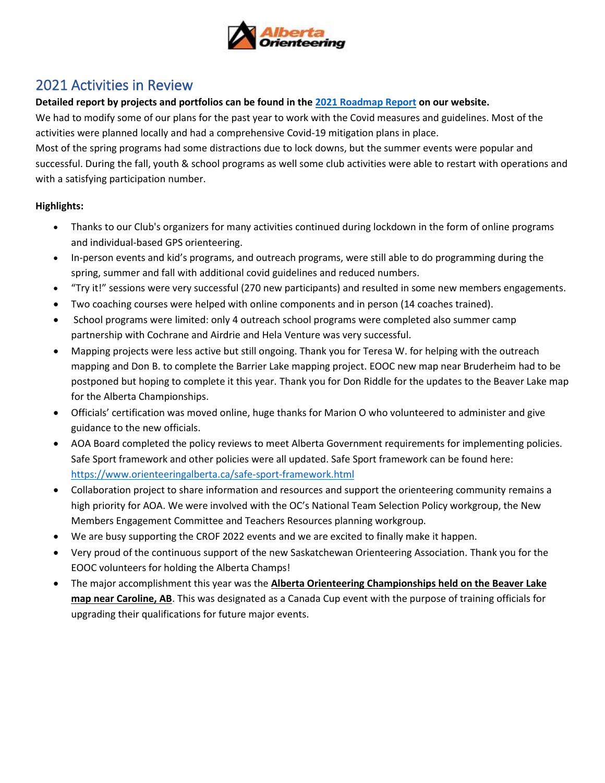

## 2021 Activities in Review

#### **Detailed report by projects and portfolios can be found in the [2021 Roadmap](https://www.orienteeringalberta.ca/uploads/1/0/2/2/102233682/roadmap_report_2021.pdf) Report on our website.**

We had to modify some of our plans for the past year to work with the Covid measures and guidelines. Most of the activities were planned locally and had a comprehensive Covid-19 mitigation plans in place.

Most of the spring programs had some distractions due to lock downs, but the summer events were popular and successful. During the fall, youth & school programs as well some club activities were able to restart with operations and with a satisfying participation number.

#### **Highlights:**

- Thanks to our Club's organizers for many activities continued during lockdown in the form of online programs and individual-based GPS orienteering.
- In-person events and kid's programs, and outreach programs, were still able to do programming during the spring, summer and fall with additional covid guidelines and reduced numbers.
- "Try it!" sessions were very successful (270 new participants) and resulted in some new members engagements.
- Two coaching courses were helped with online components and in person (14 coaches trained).
- School programs were limited: only 4 outreach school programs were completed also summer camp partnership with Cochrane and Airdrie and Hela Venture was very successful.
- Mapping projects were less active but still ongoing. Thank you for Teresa W. for helping with the outreach mapping and Don B. to complete the Barrier Lake mapping project. EOOC new map near Bruderheim had to be postponed but hoping to complete it this year. Thank you for Don Riddle for the updates to the Beaver Lake map for the Alberta Championships.
- Officials' certification was moved online, huge thanks for Marion O who volunteered to administer and give guidance to the new officials.
- AOA Board completed the policy reviews to meet Alberta Government requirements for implementing policies. Safe Sport framework and other policies were all updated. Safe Sport framework can be found here: <https://www.orienteeringalberta.ca/safe-sport-framework.html>
- Collaboration project to share information and resources and support the orienteering community remains a high priority for AOA. We were involved with the OC's National Team Selection Policy workgroup, the New Members Engagement Committee and Teachers Resources planning workgroup.
- We are busy supporting the CROF 2022 events and we are excited to finally make it happen.
- Very proud of the continuous support of the new Saskatchewan Orienteering Association. Thank you for the EOOC volunteers for holding the Alberta Champs!
- The major accomplishment this year was the **Alberta Orienteering Championships held on the Beaver Lake map near Caroline, AB**. This was designated as a Canada Cup event with the purpose of training officials for upgrading their qualifications for future major events.